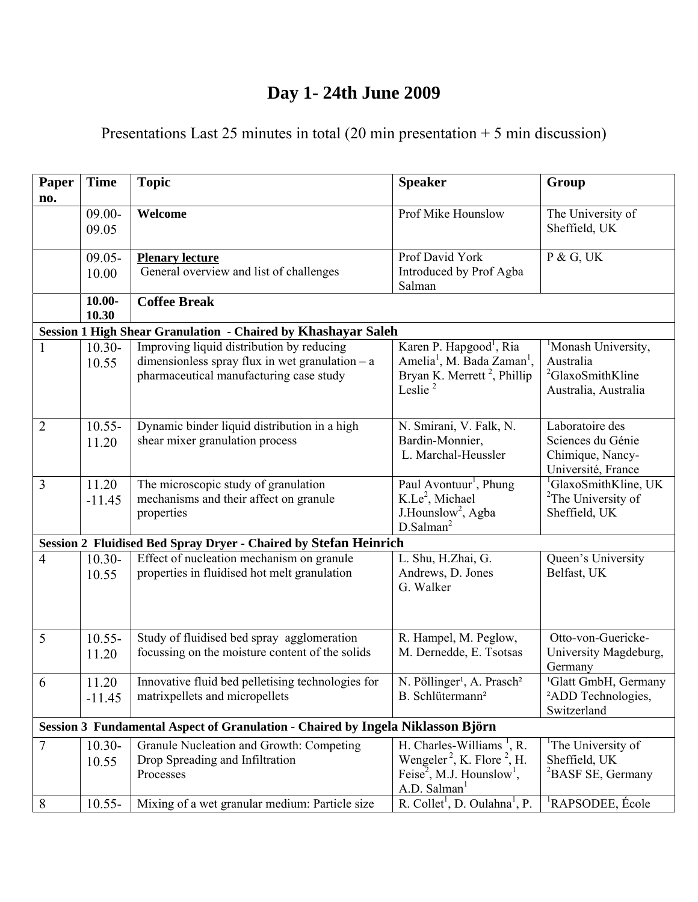## **Day 1- 24th June 2009**

## Presentations Last 25 minutes in total (20 min presentation + 5 min discussion)

| Paper          | <b>Time</b>        | <b>Topic</b>                                                                                                                              | <b>Speaker</b>                                                                                                                                                                                | Group                                                                                   |
|----------------|--------------------|-------------------------------------------------------------------------------------------------------------------------------------------|-----------------------------------------------------------------------------------------------------------------------------------------------------------------------------------------------|-----------------------------------------------------------------------------------------|
| no.            | $09.00 -$<br>09.05 | Welcome                                                                                                                                   | Prof Mike Hounslow                                                                                                                                                                            | The University of<br>Sheffield, UK                                                      |
|                | $09.05 -$<br>10.00 | <b>Plenary lecture</b><br>General overview and list of challenges                                                                         | Prof David York<br>Introduced by Prof Agba<br>Salman                                                                                                                                          | P & G, UK                                                                               |
|                | $10.00 -$<br>10.30 | <b>Coffee Break</b>                                                                                                                       |                                                                                                                                                                                               |                                                                                         |
|                |                    | Session 1 High Shear Granulation - Chaired by Khashayar Saleh                                                                             |                                                                                                                                                                                               |                                                                                         |
| $\mathbf{1}$   | $10.30 -$<br>10.55 | Improving liquid distribution by reducing<br>dimensionless spray flux in wet granulation $-$ a<br>pharmaceutical manufacturing case study | Karen P. Hapgood <sup>1</sup> , Ria<br>Amelia <sup>1</sup> , M. Bada Zaman <sup>1</sup> ,<br>Bryan K. Merrett <sup>2</sup> , Phillip<br>Leslie <sup>2</sup>                                   | Monash University,<br>Australia<br><sup>2</sup> GlaxoSmithKline<br>Australia, Australia |
| $\overline{2}$ | $10.55 -$<br>11.20 | Dynamic binder liquid distribution in a high<br>shear mixer granulation process                                                           | N. Smirani, V. Falk, N.<br>Bardin-Monnier,<br>L. Marchal-Heussler                                                                                                                             | Laboratoire des<br>Sciences du Génie<br>Chimique, Nancy-<br>Université, France          |
| $\overline{3}$ | 11.20<br>$-11.45$  | The microscopic study of granulation<br>mechanisms and their affect on granule<br>properties                                              | Paul Avontuur <sup>1</sup> , Phung<br>$K.Le2$ , Michael<br>J.Hounslow <sup>2</sup> , Agba<br>D.Salman <sup>2</sup>                                                                            | <sup>1</sup> GlaxoSmithKline, UK<br><sup>2</sup> The University of<br>Sheffield, UK     |
|                |                    | Session 2 Fluidised Bed Spray Dryer - Chaired by Stefan Heinrich                                                                          |                                                                                                                                                                                               |                                                                                         |
| 4              | $10.30 -$<br>10.55 | Effect of nucleation mechanism on granule<br>properties in fluidised hot melt granulation                                                 | L. Shu, H.Zhai, G.<br>Andrews, D. Jones<br>G. Walker                                                                                                                                          | Queen's University<br>Belfast, UK                                                       |
| 5              | $10.55 -$<br>11.20 | Study of fluidised bed spray agglomeration<br>focussing on the moisture content of the solids                                             | R. Hampel, M. Peglow,<br>M. Dernedde, E. Tsotsas                                                                                                                                              | Otto-von-Guericke-<br>University Magdeburg,<br>Germany                                  |
| 6              | 11.20<br>$-11.45$  | Innovative fluid bed pelletising technologies for   N. Pöllinger <sup>1</sup> , A. Prasch <sup>2</sup><br>matrixpellets and micropellets  | B. Schlütermann <sup>2</sup>                                                                                                                                                                  | <sup>1</sup> Glatt GmbH, Germany<br><sup>2</sup> ADD Technologies,<br>Switzerland       |
|                |                    | Session 3 Fundamental Aspect of Granulation - Chaired by Ingela Niklasson Björn                                                           |                                                                                                                                                                                               |                                                                                         |
| 7              | $10.30 -$<br>10.55 | Granule Nucleation and Growth: Competing<br>Drop Spreading and Infiltration<br>Processes                                                  | H. Charles-Williams <sup><math>\perp</math></sup> , R.<br>Wengeler <sup>2</sup> , K. Flore <sup>2</sup> , H.<br>Feise <sup>2</sup> , M.J. Hounslow <sup>1</sup> ,<br>A.D. Salman <sup>1</sup> | 'The University of<br>Sheffield, UK<br><sup>2</sup> BASF SE, Germany                    |
| 8              | $10.55 -$          | Mixing of a wet granular medium: Particle size                                                                                            | $\overline{R}$ . Collet <sup>1</sup> , D. Oulahna <sup>1</sup> , P.                                                                                                                           | <sup>1</sup> RAPSODEE, École                                                            |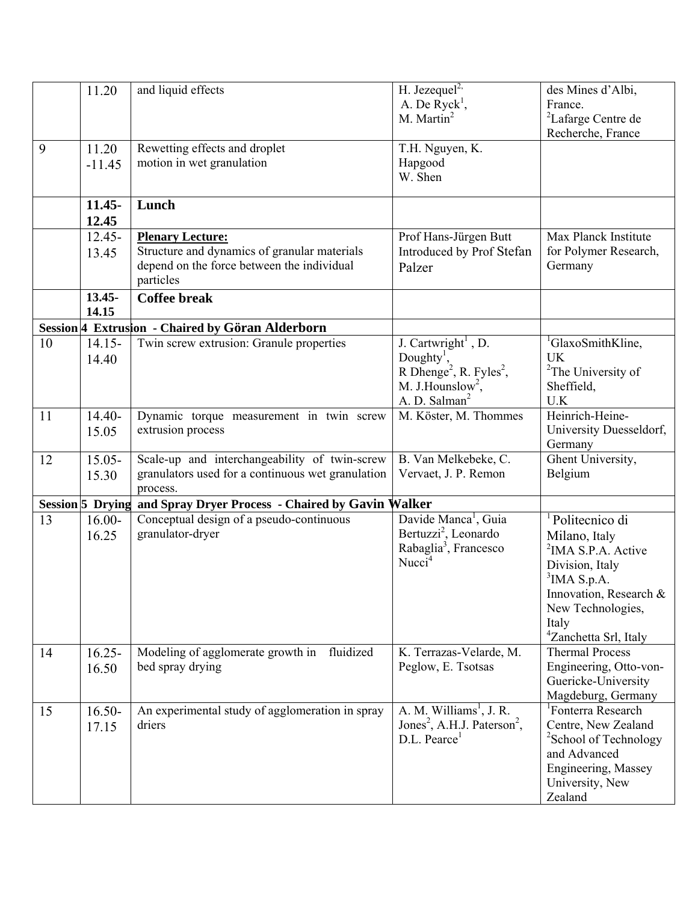|    | 11.20                   | and liquid effects                                                                                             | H. Jezequel <sup>2,</sup><br>A. De $Ryck1$ ,                                                                                                                               | des Mines d'Albi,<br>France.                                                                                                                                                                                     |
|----|-------------------------|----------------------------------------------------------------------------------------------------------------|----------------------------------------------------------------------------------------------------------------------------------------------------------------------------|------------------------------------------------------------------------------------------------------------------------------------------------------------------------------------------------------------------|
|    |                         |                                                                                                                | M. Martin <sup>2</sup>                                                                                                                                                     | <sup>2</sup> Lafarge Centre de<br>Recherche, France                                                                                                                                                              |
| 9  | 11.20<br>$-11.45$       | Rewetting effects and droplet<br>motion in wet granulation                                                     | T.H. Nguyen, K.<br>Hapgood<br>W. Shen                                                                                                                                      |                                                                                                                                                                                                                  |
|    | $11.45 -$<br>12.45      | Lunch                                                                                                          |                                                                                                                                                                            |                                                                                                                                                                                                                  |
|    | $12.45 -$               | <b>Plenary Lecture:</b>                                                                                        | Prof Hans-Jürgen Butt                                                                                                                                                      | Max Planck Institute                                                                                                                                                                                             |
|    | 13.45                   | Structure and dynamics of granular materials<br>depend on the force between the individual<br>particles        | Introduced by Prof Stefan<br>Palzer                                                                                                                                        | for Polymer Research,<br>Germany                                                                                                                                                                                 |
|    | $13.45 -$<br>14.15      | <b>Coffee break</b>                                                                                            |                                                                                                                                                                            |                                                                                                                                                                                                                  |
|    |                         | Session 4 Extrusion - Chaired by Göran Alderborn                                                               |                                                                                                                                                                            |                                                                                                                                                                                                                  |
| 10 | $14.15 -$<br>14.40      | Twin screw extrusion: Granule properties                                                                       | J. Cartwright <sup>1</sup> , D.<br>Doughty <sup>1</sup> ,<br>R Dhenge <sup>2</sup> , R. Fyles <sup>2</sup> ,<br>M. J. Hounslow <sup>2</sup> ,<br>A. D. Salman <sup>2</sup> | <sup>1</sup> GlaxoSmithKline,<br><b>UK</b><br><sup>2</sup> The University of<br>Sheffield,<br>U.K                                                                                                                |
| 11 | $14.40-$<br>15.05       | Dynamic torque measurement in twin screw<br>extrusion process                                                  | M. Köster, M. Thommes                                                                                                                                                      | Heinrich-Heine-<br>University Duesseldorf,<br>Germany                                                                                                                                                            |
| 12 | $15.05 -$<br>15.30      | Scale-up and interchangeability of twin-screw<br>granulators used for a continuous wet granulation<br>process. | B. Van Melkebeke, C.<br>Vervaet, J. P. Remon                                                                                                                               | Ghent University,<br>Belgium                                                                                                                                                                                     |
|    | <b>Session 5 Drying</b> | and Spray Dryer Process - Chaired by Gavin Walker                                                              |                                                                                                                                                                            |                                                                                                                                                                                                                  |
| 13 | $16.00 -$<br>16.25      | Conceptual design of a pseudo-continuous<br>granulator-dryer                                                   | Davide Manca <sup>1</sup> , Guia<br>Bertuzzi <sup>2</sup> , Leonardo<br>Rabaglia <sup>3</sup> , Francesco<br>Nucci <sup>4</sup>                                            | <sup>1</sup> Politecnico di<br>Milano, Italy<br><sup>2</sup> IMA S.P.A. Active<br>Division, Italy<br>$3$ IMA S.p.A.<br>Innovation, Research &<br>New Technologies,<br>Italy<br><sup>4</sup> Zanchetta Srl, Italy |
| 14 | $16.25 -$<br>16.50      | Modeling of agglomerate growth in fluidized<br>bed spray drying                                                | K. Terrazas-Velarde, M.<br>Peglow, E. Tsotsas                                                                                                                              | <b>Thermal Process</b><br>Engineering, Otto-von-<br>Guericke-University<br>Magdeburg, Germany                                                                                                                    |
| 15 | $16.50 -$<br>17.15      | An experimental study of agglomeration in spray<br>driers                                                      | A. M. Williams <sup>1</sup> , J. R.<br>Jones <sup>2</sup> , A.H.J. Paterson <sup>2</sup> ,<br>D.L. Pearce <sup>1</sup>                                                     | <sup>1</sup> Fonterra Research<br>Centre, New Zealand<br><sup>2</sup> School of Technology<br>and Advanced<br>Engineering, Massey<br>University, New<br>Zealand                                                  |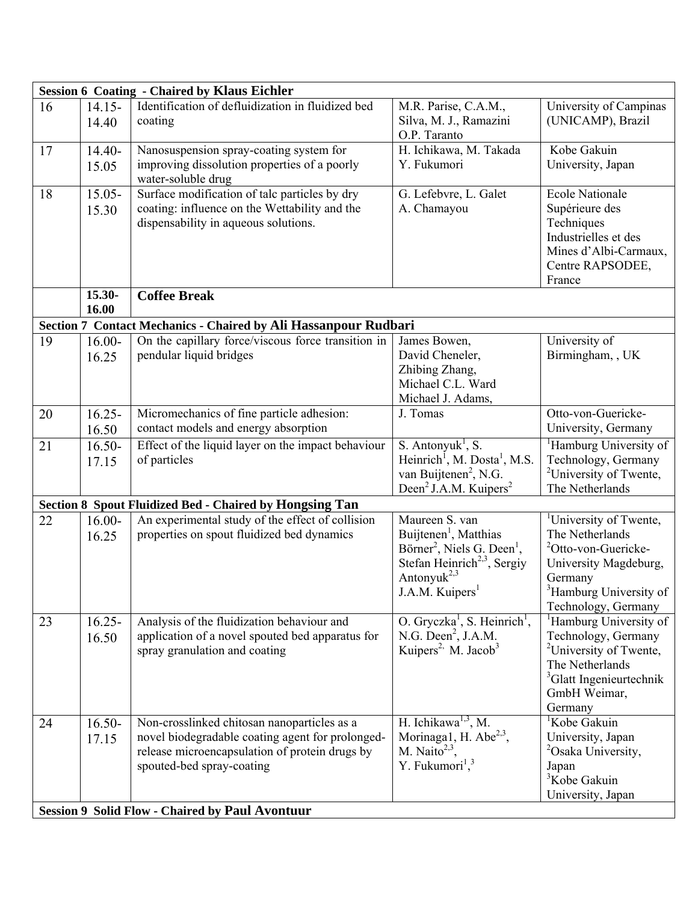|    |           | <b>Session 6 Coating - Chaired by Klaus Eichler</b>             |                                                                                       |                                     |
|----|-----------|-----------------------------------------------------------------|---------------------------------------------------------------------------------------|-------------------------------------|
| 16 | $14.15 -$ | Identification of defluidization in fluidized bed               | M.R. Parise, C.A.M.,                                                                  | University of Campinas              |
|    | 14.40     | coating                                                         | Silva, M. J., Ramazini                                                                | (UNICAMP), Brazil                   |
|    |           |                                                                 | O.P. Taranto                                                                          |                                     |
| 17 | $14.40-$  | Nanosuspension spray-coating system for                         | H. Ichikawa, M. Takada                                                                | Kobe Gakuin                         |
|    | 15.05     | improving dissolution properties of a poorly                    | Y. Fukumori                                                                           | University, Japan                   |
|    |           | water-soluble drug                                              |                                                                                       |                                     |
| 18 | $15.05 -$ | Surface modification of talc particles by dry                   | G. Lefebvre, L. Galet                                                                 | <b>Ecole Nationale</b>              |
|    | 15.30     | coating: influence on the Wettability and the                   | A. Chamayou                                                                           | Supérieure des                      |
|    |           | dispensability in aqueous solutions.                            |                                                                                       | Techniques                          |
|    |           |                                                                 |                                                                                       | Industrielles et des                |
|    |           |                                                                 |                                                                                       | Mines d'Albi-Carmaux,               |
|    |           |                                                                 |                                                                                       | Centre RAPSODEE,                    |
|    |           |                                                                 |                                                                                       | France                              |
|    | 15.30-    | <b>Coffee Break</b>                                             |                                                                                       |                                     |
|    | 16.00     |                                                                 |                                                                                       |                                     |
|    |           | Section 7 Contact Mechanics - Chaired by Ali Hassanpour Rudbari |                                                                                       |                                     |
| 19 | $16.00 -$ | On the capillary force/viscous force transition in              | James Bowen,                                                                          | University of                       |
|    | 16.25     | pendular liquid bridges                                         | David Cheneler,                                                                       | Birmingham, , UK                    |
|    |           |                                                                 | Zhibing Zhang,                                                                        |                                     |
|    |           |                                                                 | Michael C.L. Ward                                                                     |                                     |
|    |           |                                                                 | Michael J. Adams,                                                                     |                                     |
| 20 | $16.25 -$ | Micromechanics of fine particle adhesion:                       | J. Tomas                                                                              | Otto-von-Guericke-                  |
|    | 16.50     | contact models and energy absorption                            |                                                                                       | University, Germany                 |
| 21 | $16.50 -$ | Effect of the liquid layer on the impact behaviour              |                                                                                       | <sup>1</sup> Hamburg University of  |
|    | 17.15     | of particles                                                    | S. Antonyuk <sup>1</sup> , S.<br>Heinrich <sup>1</sup> , M. Dosta <sup>1</sup> , M.S. | Technology, Germany                 |
|    |           |                                                                 | van Buijtenen <sup>2</sup> , N.G.                                                     | <sup>2</sup> University of Twente,  |
|    |           |                                                                 | Deen <sup>2</sup> J.A.M. Kuipers <sup>2</sup>                                         | The Netherlands                     |
|    |           | <b>Section 8 Spout Fluidized Bed - Chaired by Hongsing Tan</b>  |                                                                                       |                                     |
| 22 | $16.00 -$ | An experimental study of the effect of collision                | Maureen S. van                                                                        | <sup>1</sup> University of Twente,  |
|    | 16.25     | properties on spout fluidized bed dynamics                      | Buijtenen <sup>1</sup> , Matthias                                                     | The Netherlands                     |
|    |           |                                                                 | Börner <sup>2</sup> , Niels G. Deen <sup>1</sup> ,                                    | <sup>2</sup> Otto-von-Guericke-     |
|    |           |                                                                 | Stefan Heinrich <sup>2,3</sup> , Sergiy                                               | University Magdeburg,               |
|    |           |                                                                 | Antonyuk <sup>2,3</sup>                                                               | Germany                             |
|    |           |                                                                 | J.A.M. Kuipers <sup>1</sup>                                                           | <sup>3</sup> Hamburg University of  |
|    |           |                                                                 |                                                                                       | Technology, Germany                 |
| 23 | $16.25 -$ | Analysis of the fluidization behaviour and                      | O. Gryczka <sup>1</sup> , S. Heinrich <sup>1</sup> ,                                  | <sup>1</sup> Hamburg University of  |
|    | 16.50     | application of a novel spouted bed apparatus for                | N.G. Deen <sup>2</sup> , J.A.M.                                                       | Technology, Germany                 |
|    |           | spray granulation and coating                                   | Kuipers <sup>2,</sup> M. Jacob <sup>3</sup>                                           | <sup>2</sup> University of Twente,  |
|    |           |                                                                 |                                                                                       | The Netherlands                     |
|    |           |                                                                 |                                                                                       | <sup>3</sup> Glatt Ingenieurtechnik |
|    |           |                                                                 |                                                                                       | GmbH Weimar,                        |
|    |           |                                                                 |                                                                                       | Germany                             |
| 24 | $16.50 -$ | Non-crosslinked chitosan nanoparticles as a                     | H. Ichikawa $^{1,3}$ , M.                                                             | <sup>1</sup> Kobe Gakuin            |
|    | 17.15     | novel biodegradable coating agent for prolonged-                | Morinaga1, H. Abe <sup>2,3</sup> ,                                                    | University, Japan                   |
|    |           | release microencapsulation of protein drugs by                  | M. Naito <sup>2,3</sup> ,                                                             | <sup>2</sup> Osaka University,      |
|    |           | spouted-bed spray-coating                                       | Y. Fukumori <sup>1</sup> , <sup>3</sup>                                               | Japan                               |
|    |           |                                                                 |                                                                                       | <sup>3</sup> Kobe Gakuin            |
|    |           |                                                                 |                                                                                       | University, Japan                   |
|    |           | <b>Session 9 Solid Flow - Chaired by Paul Avontuur</b>          |                                                                                       |                                     |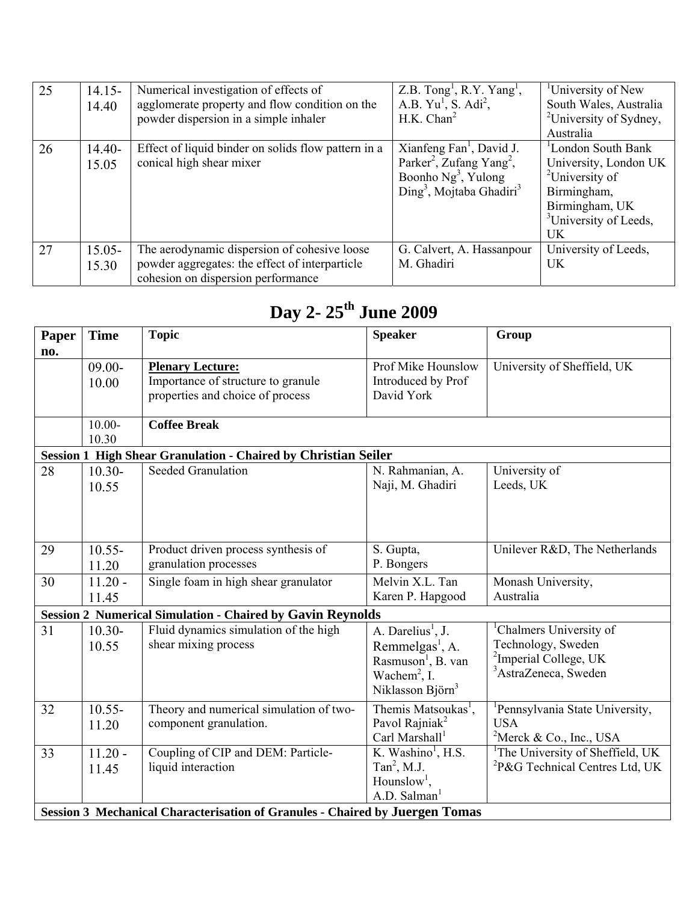| 25 | $14.15 -$<br>14.40 | Numerical investigation of effects of<br>agglomerate property and flow condition on the<br>powder dispersion in a simple inhaler     | $Z.B.$ Tong <sup>1</sup> , R.Y. Yang <sup>1</sup> ,<br>A.B. Yu <sup>1</sup> , S. Adi <sup>2</sup> ,<br>H.K. Chan <sup>2</sup>                                        | <sup>1</sup> University of New<br>South Wales, Australia<br><sup>2</sup> University of Sydney,<br>Australia                                          |
|----|--------------------|--------------------------------------------------------------------------------------------------------------------------------------|----------------------------------------------------------------------------------------------------------------------------------------------------------------------|------------------------------------------------------------------------------------------------------------------------------------------------------|
| 26 | 14.40-<br>15.05    | Effect of liquid binder on solids flow pattern in a<br>conical high shear mixer                                                      | Xianfeng Fan <sup>1</sup> , David J.<br>Parker <sup>2</sup> , Zufang Yang <sup>2</sup> ,<br>Boonho $Ng^3$ , Yulong<br>$\text{Ding}^3$ , Mojtaba Ghadiri <sup>3</sup> | London South Bank<br>University, London UK<br><sup>2</sup> University of<br>Birmingham,<br>Birmingham, UK<br><sup>3</sup> University of Leeds,<br>UK |
| 27 | $15.05 -$<br>15.30 | The aerodynamic dispersion of cohesive loose<br>powder aggregates: the effect of interparticle<br>cohesion on dispersion performance | G. Calvert, A. Hassanpour<br>M. Ghadiri                                                                                                                              | University of Leeds,<br>UK                                                                                                                           |

## **Day 2- 25th June 2009**

| Paper | <b>Time</b>                                                                  | <b>Topic</b>                                                          | <b>Speaker</b>                  | Group                                                   |  |
|-------|------------------------------------------------------------------------------|-----------------------------------------------------------------------|---------------------------------|---------------------------------------------------------|--|
| no.   |                                                                              |                                                                       |                                 |                                                         |  |
|       | $09.00 -$                                                                    | <b>Plenary Lecture:</b>                                               | Prof Mike Hounslow              | University of Sheffield, UK                             |  |
|       | 10.00                                                                        | Importance of structure to granule                                    | Introduced by Prof              |                                                         |  |
|       |                                                                              | properties and choice of process                                      | David York                      |                                                         |  |
|       |                                                                              |                                                                       |                                 |                                                         |  |
|       | $10.00 -$                                                                    | <b>Coffee Break</b>                                                   |                                 |                                                         |  |
|       | 10.30                                                                        |                                                                       |                                 |                                                         |  |
|       |                                                                              | <b>Session 1 High Shear Granulation - Chaired by Christian Seiler</b> |                                 |                                                         |  |
| 28    | $10.30 -$                                                                    | <b>Seeded Granulation</b>                                             | N. Rahmanian, A.                | University of                                           |  |
|       | 10.55                                                                        |                                                                       | Naji, M. Ghadiri                | Leeds, UK                                               |  |
|       |                                                                              |                                                                       |                                 |                                                         |  |
|       |                                                                              |                                                                       |                                 |                                                         |  |
|       |                                                                              |                                                                       |                                 |                                                         |  |
| 29    | $10.55 -$                                                                    | Product driven process synthesis of                                   | S. Gupta,                       | Unilever R&D, The Netherlands                           |  |
|       | 11.20                                                                        | granulation processes                                                 | P. Bongers                      |                                                         |  |
| 30    | $11.20 -$                                                                    | Single foam in high shear granulator                                  | Melvin X.L. Tan                 | Monash University,                                      |  |
|       | 11.45                                                                        |                                                                       | Karen P. Hapgood                | Australia                                               |  |
|       |                                                                              |                                                                       |                                 |                                                         |  |
|       |                                                                              | <b>Session 2 Numerical Simulation - Chaired by Gavin Reynolds</b>     |                                 |                                                         |  |
| 31    | $10.30 -$                                                                    | Fluid dynamics simulation of the high                                 | A. Darelius <sup>1</sup> , J.   | <sup>1</sup> Chalmers University of                     |  |
|       | 10.55                                                                        | shear mixing process                                                  | Remmelgas <sup>1</sup> , A.     | Technology, Sweden<br><sup>2</sup> Imperial College, UK |  |
|       |                                                                              |                                                                       | Rasmuson <sup>1</sup> , B. van  | <sup>3</sup> AstraZeneca, Sweden                        |  |
|       |                                                                              |                                                                       | Wachem <sup>2</sup> , I.        |                                                         |  |
|       |                                                                              |                                                                       | Niklasson Björn <sup>3</sup>    |                                                         |  |
| 32    | $10.55 -$                                                                    | Theory and numerical simulation of two-                               | Themis Matsoukas <sup>1</sup> , | <sup>1</sup> Pennsylvania State University,             |  |
|       | 11.20                                                                        | component granulation.                                                | Pavol Rajniak <sup>2</sup>      | <b>USA</b>                                              |  |
|       |                                                                              |                                                                       | Carl Marshall <sup>1</sup>      | <sup>2</sup> Merck & Co., Inc., USA                     |  |
| 33    | $11.20 -$                                                                    | Coupling of CIP and DEM: Particle-                                    | K. Washino <sup>1</sup> , H.S.  | <sup>1</sup> The University of Sheffield, UK            |  |
|       | 11.45                                                                        | liquid interaction                                                    | Tan <sup>2</sup> , M.J.         | <sup>2</sup> P&G Technical Centres Ltd, UK              |  |
|       |                                                                              |                                                                       | Hounslow <sup>1</sup> ,         |                                                         |  |
|       |                                                                              |                                                                       | A.D. Salman <sup>1</sup>        |                                                         |  |
|       | Session 3 Mechanical Characterisation of Granules - Chaired by Juergen Tomas |                                                                       |                                 |                                                         |  |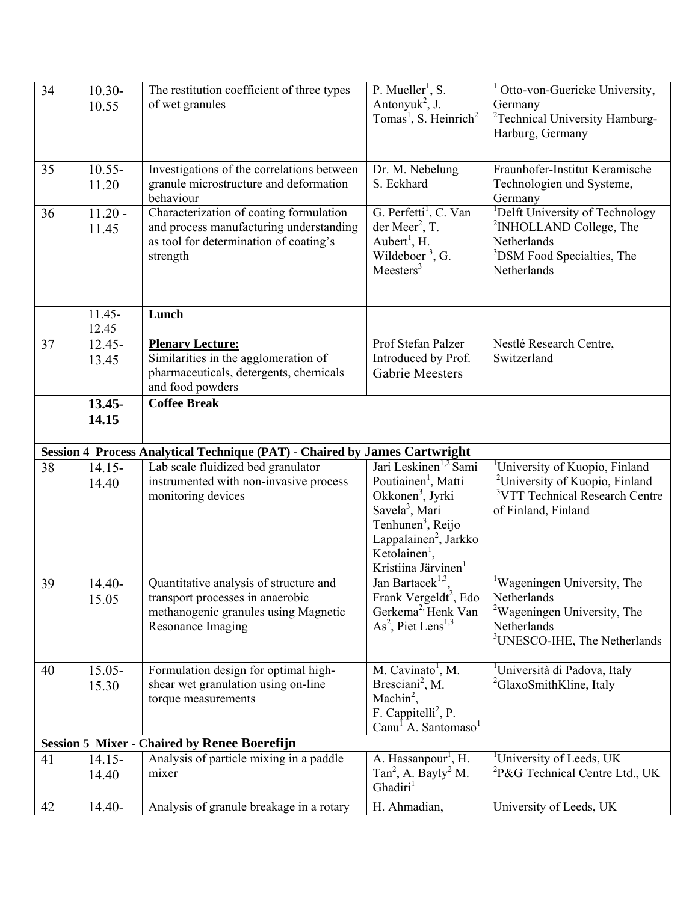| 34 | $10.30 -$          | The restitution coefficient of three types                                   | P. Mueller <sup>1</sup> , S.                                                | Otto-von-Guericke University,                                                            |
|----|--------------------|------------------------------------------------------------------------------|-----------------------------------------------------------------------------|------------------------------------------------------------------------------------------|
|    | 10.55              | of wet granules                                                              | Antonyuk <sup>2</sup> , J.<br>Tomas <sup>1</sup> , S. Heinrich <sup>2</sup> | Germany<br><sup>2</sup> Technical University Hamburg-                                    |
|    |                    |                                                                              |                                                                             | Harburg, Germany                                                                         |
|    |                    |                                                                              |                                                                             |                                                                                          |
| 35 | $10.55 -$          | Investigations of the correlations between                                   | Dr. M. Nebelung                                                             | Fraunhofer-Institut Keramische                                                           |
|    | 11.20              | granule microstructure and deformation                                       | S. Eckhard                                                                  | Technologien und Systeme,                                                                |
| 36 | $11.20 -$          | behaviour<br>Characterization of coating formulation                         | G. Perfetti <sup>1</sup> , C. Van                                           | Germany<br><sup>1</sup> Delft University of Technology                                   |
|    | 11.45              | and process manufacturing understanding                                      | der Meer <sup>2</sup> , T.                                                  | <sup>2</sup> INHOLLAND College, The                                                      |
|    |                    | as tool for determination of coating's                                       | Aubert <sup>1</sup> , H.                                                    | Netherlands                                                                              |
|    |                    | strength                                                                     | Wildeboer <sup>3</sup> , G.<br>Meesters <sup>3</sup>                        | <sup>3</sup> DSM Food Specialties, The<br>Netherlands                                    |
|    |                    |                                                                              |                                                                             |                                                                                          |
|    |                    |                                                                              |                                                                             |                                                                                          |
|    | $11.45 -$<br>12.45 | Lunch                                                                        |                                                                             |                                                                                          |
| 37 | $12.45 -$          | <b>Plenary Lecture:</b>                                                      | Prof Stefan Palzer                                                          | Nestlé Research Centre,                                                                  |
|    | 13.45              | Similarities in the agglomeration of                                         | Introduced by Prof.                                                         | Switzerland                                                                              |
|    |                    | pharmaceuticals, detergents, chemicals<br>and food powders                   | <b>Gabrie Meesters</b>                                                      |                                                                                          |
|    | $13.45 -$          | <b>Coffee Break</b>                                                          |                                                                             |                                                                                          |
|    | 14.15              |                                                                              |                                                                             |                                                                                          |
|    |                    |                                                                              |                                                                             |                                                                                          |
|    |                    | Session 4 Process Analytical Technique (PAT) - Chaired by James Cartwright   | Jari Leskinen <sup>1,2</sup> Sami                                           |                                                                                          |
| 38 | $14.15 -$<br>14.40 | Lab scale fluidized bed granulator<br>instrumented with non-invasive process | Poutiainen <sup>1</sup> , Matti                                             | <sup>1</sup> University of Kuopio, Finland<br><sup>2</sup> University of Kuopio, Finland |
|    |                    | monitoring devices                                                           | Okkonen <sup>3</sup> , Jyrki                                                | <sup>3</sup> VTT Technical Research Centre                                               |
|    |                    |                                                                              | Savela <sup>3</sup> , Mari                                                  | of Finland, Finland                                                                      |
|    |                    |                                                                              | Tenhunen <sup>3</sup> , Reijo                                               |                                                                                          |
|    |                    |                                                                              | Lappalainen <sup>2</sup> , Jarkko<br>Ketolainen <sup>1</sup> ,              |                                                                                          |
|    |                    |                                                                              | Kristiina Järvinen                                                          |                                                                                          |
| 39 | 14.40-             | Quantitative analysis of structure and                                       | Jan Bartacek <sup>1,3</sup> ,                                               | <sup>1</sup> Wageningen University, The                                                  |
|    | 15.05              | transport processes in anaerobic<br>methanogenic granules using Magnetic     | Frank Vergeldt <sup>2</sup> , Edo<br>Gerkema <sup>2,</sup> Henk Van         | Netherlands<br><sup>2</sup> Wageningen University, The                                   |
|    |                    | Resonance Imaging                                                            | $As2$ , Piet Lens <sup>1,3</sup>                                            | Netherlands                                                                              |
|    |                    |                                                                              |                                                                             | <sup>3</sup> UNESCO-IHE, The Netherlands                                                 |
|    |                    |                                                                              | M. Cavinato <sup>1</sup> , M.                                               | <sup>1</sup> Università di Padova, Italy                                                 |
| 40 | $15.05 -$<br>15.30 | Formulation design for optimal high-<br>shear wet granulation using on-line  | Bresciani <sup>2</sup> , M.                                                 | <sup>2</sup> GlaxoSmithKline, Italy                                                      |
|    |                    | torque measurements                                                          | Machin <sup>2</sup> ,                                                       |                                                                                          |
|    |                    |                                                                              | F. Cappitelli <sup>2</sup> , P.                                             |                                                                                          |
|    |                    | <b>Session 5 Mixer - Chaired by Renee Boerefijn</b>                          | Canu <sup>1</sup> A. Santomaso <sup>1</sup>                                 |                                                                                          |
| 41 | $14.15 -$          | Analysis of particle mixing in a paddle                                      | A. Hassanpour <sup>1</sup> , H.                                             | <sup>1</sup> University of Leeds, UK                                                     |
|    | 14.40              | mixer                                                                        | Tan <sup>2</sup> , A. Bayly <sup>2</sup> M.                                 | ${}^{2}P\&G$ Technical Centre Ltd., UK                                                   |
|    |                    |                                                                              |                                                                             |                                                                                          |
|    |                    |                                                                              | Ghadiri <sup>1</sup>                                                        |                                                                                          |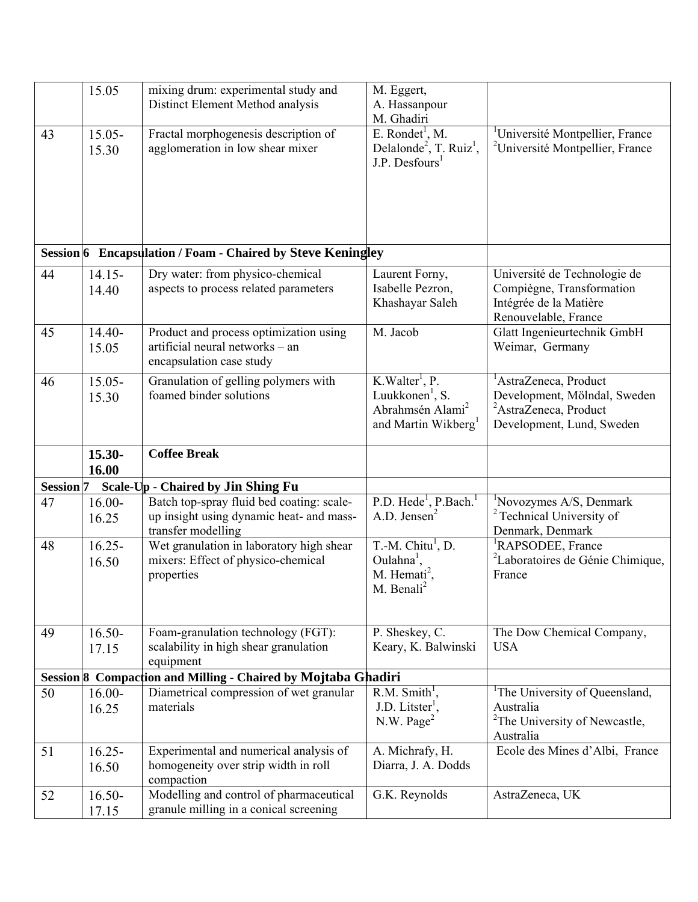|                      | 15.05              | mixing drum: experimental study and                                                                         | M. Eggert,                                                                                                                   |                                                                                                                                     |
|----------------------|--------------------|-------------------------------------------------------------------------------------------------------------|------------------------------------------------------------------------------------------------------------------------------|-------------------------------------------------------------------------------------------------------------------------------------|
|                      |                    | Distinct Element Method analysis                                                                            | A. Hassanpour<br>M. Ghadiri                                                                                                  |                                                                                                                                     |
| 43                   | $15.05 -$          | Fractal morphogenesis description of                                                                        | E. Rondet <sup>1</sup> , M.                                                                                                  | <sup>1</sup> Université Montpellier, France                                                                                         |
|                      | 15.30              | agglomeration in low shear mixer                                                                            | Delalonde <sup>2</sup> , T. Ruiz <sup>1</sup> ,<br>$J.P.$ Desfours <sup>1</sup>                                              | <sup>2</sup> Université Montpellier, France                                                                                         |
|                      |                    |                                                                                                             |                                                                                                                              |                                                                                                                                     |
|                      |                    | Session 6 Encapsulation / Foam - Chaired by Steve Keningley                                                 |                                                                                                                              |                                                                                                                                     |
| 44                   | $14.15 -$          | Dry water: from physico-chemical                                                                            | Laurent Forny,                                                                                                               | Université de Technologie de                                                                                                        |
|                      | 14.40              | aspects to process related parameters                                                                       | Isabelle Pezron,<br>Khashayar Saleh                                                                                          | Compiègne, Transformation<br>Intégrée de la Matière<br>Renouvelable, France                                                         |
| 45                   | 14.40-<br>15.05    | Product and process optimization using<br>artificial neural networks - an<br>encapsulation case study       | M. Jacob                                                                                                                     | Glatt Ingenieurtechnik GmbH<br>Weimar, Germany                                                                                      |
| 46                   | $15.05 -$<br>15.30 | Granulation of gelling polymers with<br>foamed binder solutions                                             | K.Walter <sup>1</sup> , P.<br>Luukkonen <sup>1</sup> , S.<br>Abrahmsén Alami <sup>2</sup><br>and Martin Wikberg <sup>1</sup> | <sup>1</sup> AstraZeneca, Product<br>Development, Mölndal, Sweden<br><sup>2</sup> AstraZeneca, Product<br>Development, Lund, Sweden |
|                      |                    |                                                                                                             |                                                                                                                              |                                                                                                                                     |
|                      | 15.30-<br>16.00    | <b>Coffee Break</b>                                                                                         |                                                                                                                              |                                                                                                                                     |
| Session <sup>7</sup> |                    | Scale-Up - Chaired by Jin Shing Fu                                                                          |                                                                                                                              |                                                                                                                                     |
| 47                   | $16.00 -$<br>16.25 | Batch top-spray fluid bed coating: scale-<br>up insight using dynamic heat- and mass-<br>transfer modelling | P.D. Hede <sup>1</sup> , P.Bach. <sup>1</sup><br>A.D. Jensen <sup>2</sup>                                                    | <sup>1</sup> Novozymes A/S, Denmark<br><sup>2</sup> Technical University of<br>Denmark, Denmark                                     |
| 48                   | $16.25 -$<br>16.50 | Wet granulation in laboratory high shear<br>mixers: Effect of physico-chemical<br>properties                | $T.-M. Chitu1, D.$<br>$Oulahna1$ ,<br>M. Hemati <sup>2</sup> ,<br>M. Benali <sup>2</sup>                                     | <sup>1</sup> RAPSODEE, France<br><sup>2</sup> Laboratoires de Génie Chimique,<br>France                                             |
| 49                   | $16.50 -$<br>17.15 | Foam-granulation technology (FGT):<br>scalability in high shear granulation                                 | P. Sheskey, C.<br>Keary, K. Balwinski                                                                                        | The Dow Chemical Company,<br><b>USA</b>                                                                                             |
|                      |                    | equipment<br>Session 8 Compaction and Milling - Chaired by Mojtaba Ghadiri                                  |                                                                                                                              |                                                                                                                                     |
| 50                   | $16.00 -$<br>16.25 | Diametrical compression of wet granular<br>materials                                                        | $R.M.$ Smith <sup>1</sup> ,<br>$J.D.$ Litster <sup>1</sup> ,<br>N.W. Page <sup>2</sup>                                       | <sup>1</sup> The University of Queensland,<br>Australia<br><sup>2</sup> The University of Newcastle,<br>Australia                   |
| 51                   | $16.25 -$<br>16.50 | Experimental and numerical analysis of<br>homogeneity over strip width in roll<br>compaction                | A. Michrafy, H.<br>Diarra, J. A. Dodds                                                                                       | Ecole des Mines d'Albi, France                                                                                                      |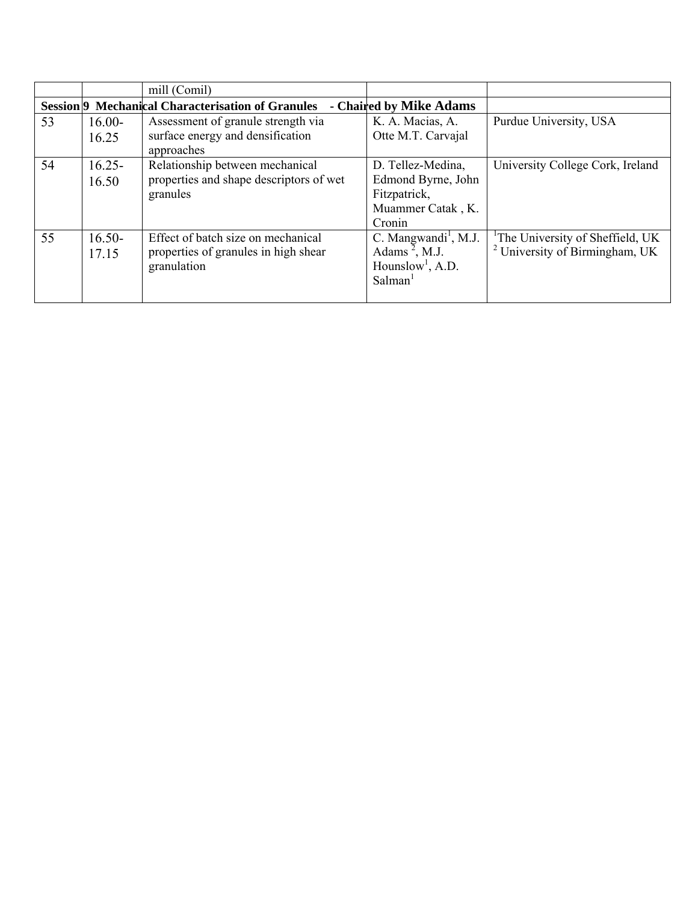|    |           | mill (Comil)                                                   |                                  |                                              |
|----|-----------|----------------------------------------------------------------|----------------------------------|----------------------------------------------|
|    |           | Session <sup>[9]</sup> Mechanical Characterisation of Granules | - Chaired by Mike Adams          |                                              |
| 53 | $16.00-$  | Assessment of granule strength via                             | K. A. Macias, A.                 | Purdue University, USA                       |
|    | 16.25     | surface energy and densification                               | Otte M.T. Carvajal               |                                              |
|    |           | approaches                                                     |                                  |                                              |
| 54 | $16.25 -$ | Relationship between mechanical                                | D. Tellez-Medina,                | University College Cork, Ireland             |
|    | 16.50     | properties and shape descriptors of wet                        | Edmond Byrne, John               |                                              |
|    |           | granules                                                       | Fitzpatrick,                     |                                              |
|    |           |                                                                | Muammer Catak, K.                |                                              |
|    |           |                                                                | Cronin                           |                                              |
| 55 | $16.50 -$ | Effect of batch size on mechanical                             | C. Mangwandi <sup>1</sup> , M.J. | <sup>1</sup> The University of Sheffield, UK |
|    | 17.15     | properties of granules in high shear                           | Adams <sup>2</sup> , M.J.        | University of Birmingham, UK                 |
|    |           | granulation                                                    | Hounslow <sup>1</sup> , A.D.     |                                              |
|    |           |                                                                | Salman <sup>1</sup>              |                                              |
|    |           |                                                                |                                  |                                              |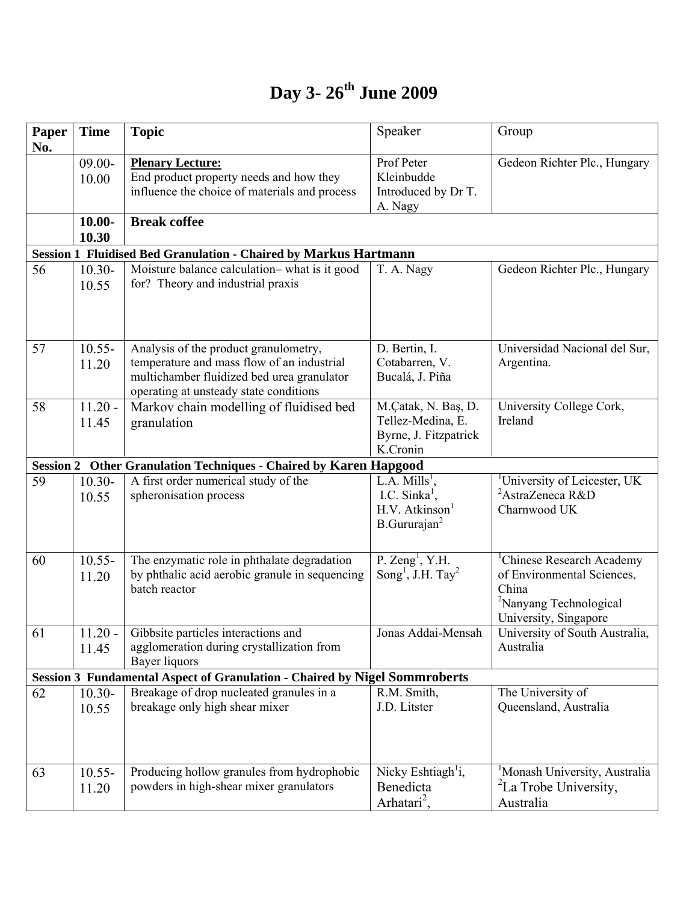## **Day 3- 26th June 2009**

| Paper<br>No. | <b>Time</b>        | <b>Topic</b>                                                                                                                                                                | Speaker                                                                                                  | Group                                                                                                                                       |
|--------------|--------------------|-----------------------------------------------------------------------------------------------------------------------------------------------------------------------------|----------------------------------------------------------------------------------------------------------|---------------------------------------------------------------------------------------------------------------------------------------------|
|              | $09.00 -$<br>10.00 | <b>Plenary Lecture:</b><br>End product property needs and how they<br>influence the choice of materials and process                                                         | Prof Peter<br>Kleinbudde<br>Introduced by Dr T.<br>A. Nagy                                               | Gedeon Richter Plc., Hungary                                                                                                                |
|              | $10.00 -$<br>10.30 | <b>Break coffee</b>                                                                                                                                                         |                                                                                                          |                                                                                                                                             |
|              |                    | <b>Session 1 Fluidised Bed Granulation - Chaired by Markus Hartmann</b>                                                                                                     |                                                                                                          |                                                                                                                                             |
| 56           | $10.30 -$<br>10.55 | Moisture balance calculation-what is it good<br>for? Theory and industrial praxis                                                                                           | T. A. Nagy                                                                                               | Gedeon Richter Plc., Hungary                                                                                                                |
| 57           | $10.55 -$<br>11.20 | Analysis of the product granulometry,<br>temperature and mass flow of an industrial<br>multichamber fluidized bed urea granulator<br>operating at unsteady state conditions | D. Bertin, I.<br>Cotabarren, V.<br>Bucalá, J. Piña                                                       | Universidad Nacional del Sur,<br>Argentina.                                                                                                 |
| 58           | $11.20 -$<br>11.45 | Markov chain modelling of fluidised bed<br>granulation                                                                                                                      | M.Çatak, N. Baş, D.<br>Tellez-Medina, E.<br>Byrne, J. Fitzpatrick<br>K.Cronin                            | University College Cork,<br>Ireland                                                                                                         |
|              |                    | <b>Session 2 Other Granulation Techniques - Chaired by Karen Hapgood</b>                                                                                                    |                                                                                                          |                                                                                                                                             |
| 59           | $10.30 -$<br>10.55 | A first order numerical study of the<br>spheronisation process                                                                                                              | L.A. $Mills1$ ,<br>I.C. Sinka <sup>1</sup> ,<br>$H.V.$ Atkinson <sup>1</sup><br>B.Gururajan <sup>2</sup> | <sup>1</sup> University of Leicester, UK<br><sup>2</sup> AstraZeneca R&D<br>Charnwood UK                                                    |
| 60           | $10.55 -$<br>11.20 | The enzymatic role in phthalate degradation<br>by phthalic acid aerobic granule in sequencing<br>batch reactor                                                              | P. Zeng <sup>1</sup> , Y.H.<br>Song <sup>1</sup> , J.H. Tay <sup>2</sup>                                 | <sup>1</sup> Chinese Research Academy<br>of Environmental Sciences,<br>China<br><sup>2</sup> Nanyang Technological<br>University, Singapore |
| 61           | $11.20 -$<br>11.45 | Gibbsite particles interactions and<br>agglomeration during crystallization from<br>Bayer liquors                                                                           | Jonas Addai-Mensah                                                                                       | University of South Australia,<br>Australia                                                                                                 |
|              |                    | <b>Session 3 Fundamental Aspect of Granulation - Chaired by Nigel Sommroberts</b>                                                                                           |                                                                                                          |                                                                                                                                             |
| 62           | $10.30 -$<br>10.55 | Breakage of drop nucleated granules in a<br>breakage only high shear mixer                                                                                                  | R.M. Smith,<br>J.D. Litster                                                                              | The University of<br>Queensland, Australia                                                                                                  |
| 63           | $10.55 -$<br>11.20 | Producing hollow granules from hydrophobic<br>powders in high-shear mixer granulators                                                                                       | Nicky Eshtiagh <sup>1</sup> i,<br>Benedicta<br>Arhatari <sup>2</sup> ,                                   | <sup>1</sup> Monash University, Australia<br><sup>2</sup> La Trobe University,<br>Australia                                                 |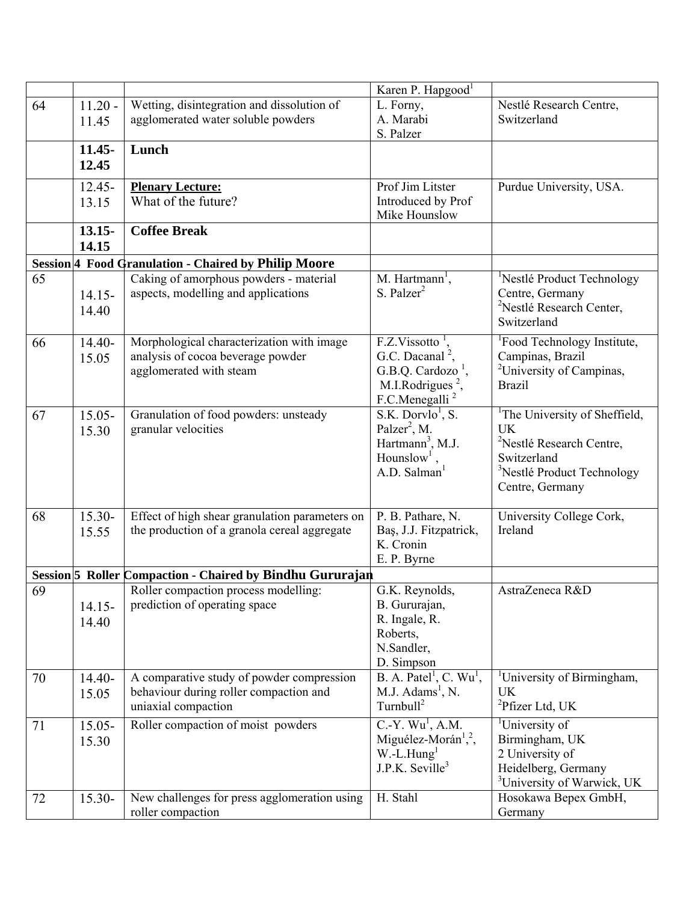|    |           |                                                           | Karen P. Hapgood <sup>1</sup>                   |                                                       |
|----|-----------|-----------------------------------------------------------|-------------------------------------------------|-------------------------------------------------------|
| 64 | $11.20 -$ | Wetting, disintegration and dissolution of                | L. Forny,                                       | Nestlé Research Centre,                               |
|    | 11.45     | agglomerated water soluble powders                        | A. Marabi                                       | Switzerland                                           |
|    |           |                                                           | S. Palzer                                       |                                                       |
|    | $11.45 -$ | Lunch                                                     |                                                 |                                                       |
|    | 12.45     |                                                           |                                                 |                                                       |
|    | $12.45 -$ | <b>Plenary Lecture:</b>                                   | Prof Jim Litster                                | Purdue University, USA.                               |
|    | 13.15     | What of the future?                                       | Introduced by Prof                              |                                                       |
|    |           |                                                           | Mike Hounslow                                   |                                                       |
|    | $13.15 -$ | <b>Coffee Break</b>                                       |                                                 |                                                       |
|    | 14.15     |                                                           |                                                 |                                                       |
|    |           | Session 4 Food Granulation - Chaired by Philip Moore      |                                                 |                                                       |
| 65 |           | Caking of amorphous powders - material                    | M. Hartmann <sup>1</sup> ,                      | <sup>1</sup> Nestlé Product Technology                |
|    | $14.15 -$ | aspects, modelling and applications                       | $S.$ Palzer <sup>2</sup>                        | Centre, Germany                                       |
|    | 14.40     |                                                           |                                                 | <sup>2</sup> Nestlé Research Center,                  |
|    |           |                                                           |                                                 | Switzerland                                           |
| 66 | 14.40-    | Morphological characterization with image                 | F.Z.Vissotto                                    | <sup>1</sup> Food Technology Institute,               |
|    | 15.05     | analysis of cocoa beverage powder                         | G.C. Dacanal <sup>2</sup> ,                     | Campinas, Brazil                                      |
|    |           | agglomerated with steam                                   | G.B.Q. Cardozo <sup>1</sup> ,                   | <sup>2</sup> University of Campinas,                  |
|    |           |                                                           | M.I.Rodrigues $^2$ .                            | <b>Brazil</b>                                         |
|    |           |                                                           | F.C.Menegalli <sup>2</sup>                      |                                                       |
| 67 | 15.05-    | Granulation of food powders: unsteady                     | $S.K.$ Dorvlo <sup>1</sup> , S.                 | <sup>1</sup> The University of Sheffield,             |
|    | 15.30     | granular velocities                                       | Palzer <sup>2</sup> , M.                        | <b>UK</b>                                             |
|    |           |                                                           | Hartmann <sup>3</sup> , M.J.                    | <sup>2</sup> Nestlé Research Centre,                  |
|    |           |                                                           | Hounslow <sup>1</sup> ,<br>A.D. Salman          | Switzerland<br><sup>3</sup> Nestlé Product Technology |
|    |           |                                                           |                                                 | Centre, Germany                                       |
|    |           |                                                           |                                                 |                                                       |
| 68 | 15.30-    | Effect of high shear granulation parameters on            | P. B. Pathare, N.                               | University College Cork,                              |
|    | 15.55     | the production of a granola cereal aggregate              | Baş, J.J. Fitzpatrick,                          | Ireland                                               |
|    |           |                                                           | K. Cronin                                       |                                                       |
|    |           |                                                           | E. P. Byrne                                     |                                                       |
|    |           | Session 5 Roller Compaction - Chaired by Bindhu Gururajan |                                                 |                                                       |
| 69 |           | Roller compaction process modelling:                      | G.K. Reynolds,                                  | AstraZeneca R&D                                       |
|    | $14.15 -$ | prediction of operating space                             | B. Gururajan,                                   |                                                       |
|    | 14.40     |                                                           | R. Ingale, R.                                   |                                                       |
|    |           |                                                           | Roberts,<br>N.Sandler,                          |                                                       |
|    |           |                                                           | D. Simpson                                      |                                                       |
| 70 | 14.40-    | A comparative study of powder compression                 | B. A. Patel <sup>1</sup> , C. Wu <sup>1</sup> , | <sup>1</sup> University of Birmingham,                |
|    | 15.05     | behaviour during roller compaction and                    | M.J. Adams <sup>1</sup> , N.                    | UK                                                    |
|    |           | uniaxial compaction                                       | Turnbull <sup>2</sup>                           | ${}^{2}P$ fizer Ltd, UK                               |
| 71 | $15.05 -$ | Roller compaction of moist powders                        | $C.-Y. Wu1, A.M.$                               | <sup>1</sup> University of                            |
|    | 15.30     |                                                           | Miguélez-Morán <sup>1,2</sup> ,                 | Birmingham, UK                                        |
|    |           |                                                           | $W.-L.Hung1$                                    | 2 University of                                       |
|    |           |                                                           | $J.P.K.$ Seville <sup>3</sup>                   | Heidelberg, Germany                                   |
|    |           |                                                           |                                                 | <sup>3</sup> University of Warwick, UK                |
| 72 | 15.30-    | New challenges for press agglomeration using              | H. Stahl                                        | Hosokawa Bepex GmbH,                                  |
|    |           | roller compaction                                         |                                                 | Germany                                               |